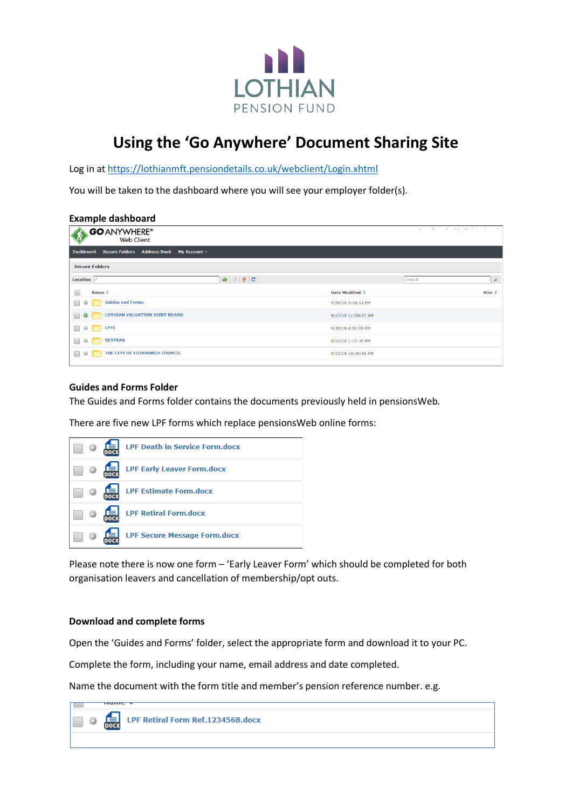

# **Using the 'Go Anywhere' Document Sharing Site**

Log in at<https://lothianmft.pensiondetails.co.uk/webclient/Login.xhtml>

You will be taken to the dashboard where you will see your employer folder(s).

| <b>Example dashboard</b>                                                    |                                   |  |  |  |
|-----------------------------------------------------------------------------|-----------------------------------|--|--|--|
| with the company of the com-<br>$\sim$<br><b>GO ANYWHERE®</b><br>Web Client |                                   |  |  |  |
| Secure Folders Address Book My Account v<br><b>Dashboard</b>                |                                   |  |  |  |
| <b>Secure Folders</b>                                                       |                                   |  |  |  |
| $\Rightarrow$ $\circ$ $\bullet$ C<br><b>Location</b>                        | Search<br>$\alpha$                |  |  |  |
| Name $\diamond$                                                             | <b>Date Modified </b> ↓<br>Size ≎ |  |  |  |
| <b>Guides and Forms</b><br>a                                                | 9/26/18 3:18:12 PM                |  |  |  |
| <b>LOTHIAN VALUATION JOINT BOARD</b><br>o                                   | 9/17/18 11:50:37 AM               |  |  |  |
| <b>LPFE</b><br>o                                                            | 9/26/18 4:01:01 PM                |  |  |  |
| <b>SESTRAN</b><br>a                                                         | 9/12/18 1:17:30 PM                |  |  |  |
| THE CITY OF EDINBURGH COUNCIL<br>٠                                          | 9/12/18 10:36:43 AM               |  |  |  |

#### **Guides and Forms Folder**

The Guides and Forms folder contains the documents previously held in pensionsWeb.

There are five new LPF forms which replace pensionsWeb online forms:

| <b>LPF Death in Service Form.docx</b> |
|---------------------------------------|
| <b>LPF Early Leaver Form.docx</b>     |
| <b>LPF Estimate Form.docx</b>         |
| <b>LPF Retiral Form.docx</b>          |
| <b>LPF Secure Message Form.docx</b>   |

Please note there is now one form – 'Early Leaver Form' which should be completed for both organisation leavers and cancellation of membership/opt outs.

#### **Download and complete forms**

Open the 'Guides and Forms' folder, select the appropriate form and download it to your PC.

Complete the form, including your name, email address and date completed.

Name the document with the form title and member's pension reference number. e.g.